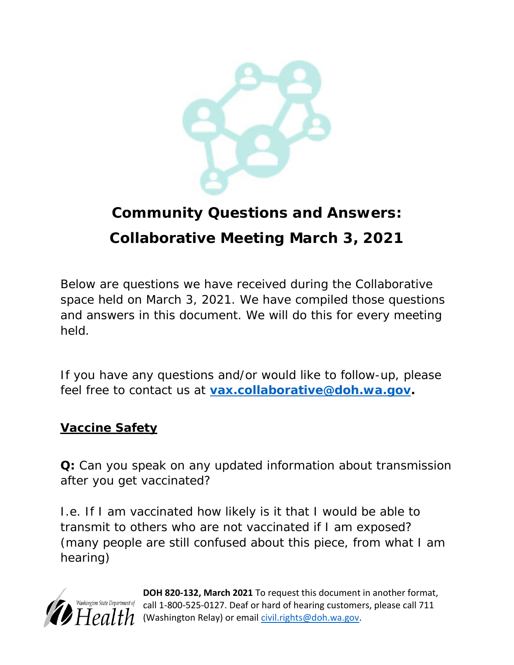

# **Community Questions and Answers: Collaborative Meeting March 3, 2021**

Below are questions we have received during the Collaborative space held on March 3, 2021. We have compiled those questions and answers in this document. We will do this for every meeting held.

If you have any questions and/or would like to follow-up, please feel free to contact us at **[vax.collaborative@doh.wa.gov](mailto:vax.collaborative@doh.wa.gov)***.*

## **Vaccine Safety**

**Q:** Can you speak on any updated information about transmission after you get vaccinated?

I.e. If I am vaccinated how likely is it that I would be able to transmit to others who are not vaccinated if I am exposed? (many people are still confused about this piece, from what I am hearing)



**DOH 820-132, March 2021** To request this document in another format, call 1-800-525-0127. Deaf or hard of hearing customers, please call 711 (Washington Relay) or email [civil.rights@doh.wa.gov.](mailto:civil.rights@doh.wa.gov)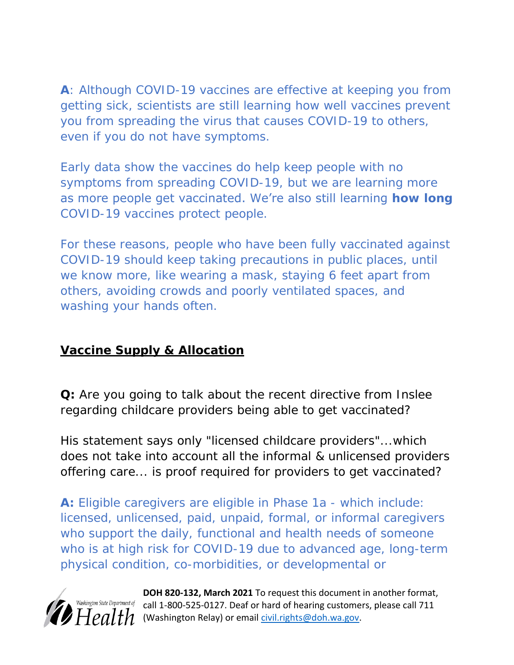**A**: Although COVID-19 vaccines are effective at keeping you from getting sick, scientists are still learning how well vaccines prevent you from spreading the virus that causes COVID-19 to others, even if you do not have symptoms.

Early data show the vaccines do help keep people with no symptoms from spreading COVID-19, but we are learning more as more people get vaccinated. We're also still learning **how long** COVID-19 vaccines protect people.

For these reasons, people who have been fully vaccinated against COVID-19 should keep taking precautions in public places, until we know more, like wearing a mask, staying 6 feet apart from others, avoiding crowds and poorly ventilated spaces, and washing your hands often.

## **Vaccine Supply & Allocation**

**Q:** Are you going to talk about the recent directive from Inslee regarding childcare providers being able to get vaccinated?

His statement says only "licensed childcare providers"...which does not take into account all the informal & unlicensed providers offering care... is proof required for providers to get vaccinated?

**A:** Eligible caregivers are eligible in Phase 1a - which include: licensed, unlicensed, paid, unpaid, formal, or informal caregivers who support the daily, functional and health needs of someone who is at high risk for COVID-19 due to advanced age, long-term physical condition, co-morbidities, or developmental or



**DOH 820-132, March 2021** To request this document in another format,  $\frac{Washington\ State\ Department\ of}{2}$  call 1-800-525-0127. Deaf or hard of hearing customers, please call 711  $H$  $\rho$  $d$   $H$  (Washington Relay) or email *civil.rights@doh.wa.gov.*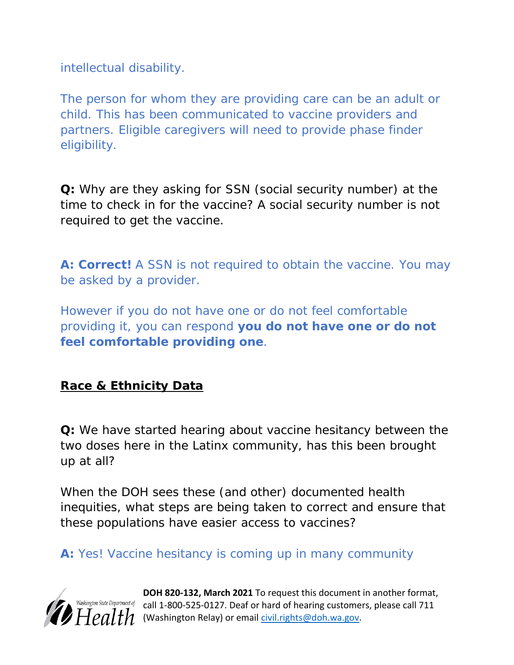intellectual disability.

The person for whom they are providing care can be an adult or child. This has been communicated to vaccine providers and partners. Eligible caregivers will need to provide phase finder eligibility.

**Q:** Why are they asking for SSN (social security number) at the time to check in for the vaccine? A social security number is not required to get the vaccine.

**A: Correct!** A SSN is not required to obtain the vaccine. You may be asked by a provider.

However if you do not have one or do not feel comfortable providing it, you can respond **you do not have one or do not feel comfortable providing one**.

**Race & Ethnicity Data**

**Q:** We have started hearing about vaccine hesitancy between the two doses here in the Latinx community, has this been brought up at all?

When the DOH sees these (and other) documented health inequities, what steps are being taken to correct and ensure that these populations have easier access to vaccines?

**A:** Yes! Vaccine hesitancy is coming up in many community



**DOH 820-132, March 2021** To request this document in another format, shington State Department of call 1-800-525-0127. Deaf or hard of hearing customers, please call 711  $H$  $\rho$  $d$   $th$  (Washington Relay) or email [civil.rights@doh.wa.gov.](mailto:civil.rights@doh.wa.gov)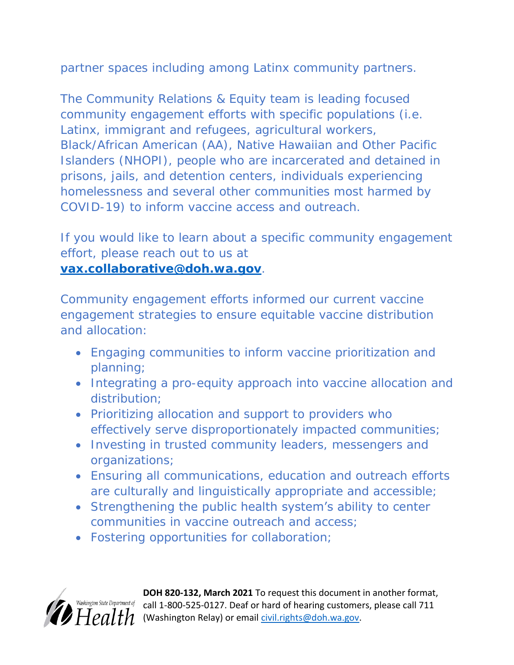partner spaces including among Latinx community partners.

The Community Relations & Equity team is leading focused community engagement efforts with specific populations (i.e. Latinx, immigrant and refugees, agricultural workers, Black/African American (AA), Native Hawaiian and Other Pacific Islanders (NHOPI), people who are incarcerated and detained in prisons, jails, and detention centers, individuals experiencing homelessness and several other communities most harmed by COVID-19) to inform vaccine access and outreach.

If you would like to learn about a specific community engagement effort, please reach out to us at **[vax.collaborative@doh.wa.gov](mailto:vax.collaborative@doh.wa.gov)**.

Community engagement efforts informed our current vaccine engagement strategies to ensure equitable vaccine distribution and allocation:

- Engaging communities to inform vaccine prioritization and planning;
- Integrating a pro-equity approach into vaccine allocation and distribution;
- Prioritizing allocation and support to providers who effectively serve disproportionately impacted communities;
- Investing in trusted community leaders, messengers and organizations;
- Ensuring all communications, education and outreach efforts are culturally and linguistically appropriate and accessible;
- Strengthening the public health system's ability to center communities in vaccine outreach and access;
- Fostering opportunities for collaboration;



**DOH 820-132, March 2021** To request this document in another format, Washington State Department of call 1-800-525-0127. Deaf or hard of hearing customers, please call 711  $H$  $\rho$  $1$   $H$  (Washington Relay) or email [civil.rights@doh.wa.gov.](mailto:civil.rights@doh.wa.gov)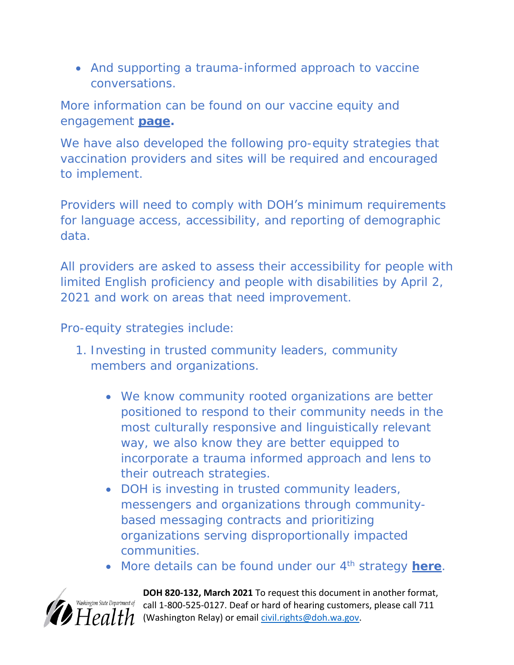And supporting a trauma-informed approach to vaccine conversations.

More information can be found on our vaccine equity and engagement **[page.](https://www.doh.wa.gov/Emergencies/COVID19/VaccineInformation/Engagement)** 

We have also developed the following pro-equity strategies that vaccination providers and sites will be required and encouraged to implement.

Providers will need to comply with DOH's minimum requirements for language access, accessibility, and reporting of demographic data.

All providers are asked to assess their accessibility for people with limited English proficiency and people with disabilities by April 2, 2021 and work on areas that need improvement.

Pro-equity strategies include:

- 1. Investing in trusted community leaders, community members and organizations.
	- We know community rooted organizations are better positioned to respond to their community needs in the most culturally responsive and linguistically relevant way, we also know they are better equipped to incorporate a trauma informed approach and lens to their outreach strategies.
	- DOH is investing in trusted community leaders, messengers and organizations through communitybased messaging contracts and prioritizing organizations serving disproportionally impacted communities.
	- More details can be found under our 4th strategy **[here](https://gcc02.safelinks.protection.outlook.com/?url=https%3A%2F%2Fwww.doh.wa.gov%2FEmergencies%2FCOVID19%2FVaccineInformation%2FEngagement%23heading65749&data=04%7C01%7Cfathiya.abdi%40doh.wa.gov%7Cf06a7a3dab9d4ed2cba208d8e8b82747%7C11d0e217264e400a8ba057dcc127d72d%7C0%7C0%7C637515225727660445%7CUnknown%7CTWFpbGZsb3d8eyJWIjoiMC4wLjAwMDAiLCJQIjoiV2luMzIiLCJBTiI6Ik1haWwiLCJXVCI6Mn0%3D%7C1000&sdata=Cwowhoc2Sn%2BSIE6ggfzU721w%2FgcLSzP5prw3UFtBlCo%3D&reserved=0)**.



**DOH 820-132, March 2021** To request this document in another format, ington State Department of call 1-800-525-0127. Deaf or hard of hearing customers, please call 711  $\theta$   $H$  $e$ *alth* (Washington Relay) or email [civil.rights@doh.wa.gov.](mailto:civil.rights@doh.wa.gov)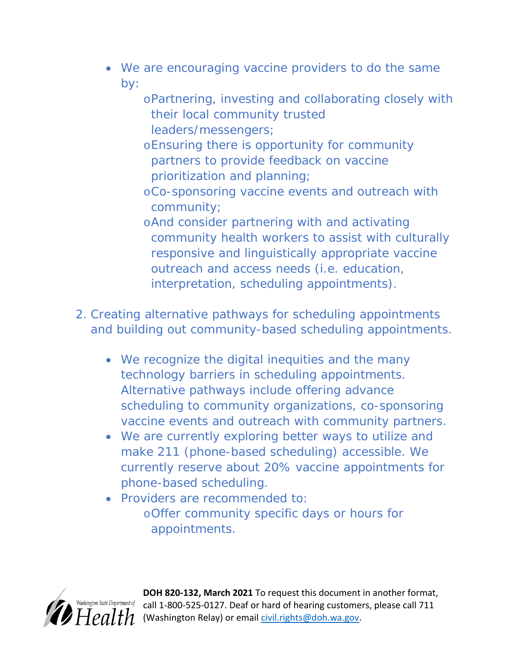- We are encouraging vaccine providers to do the same by:
	- oPartnering, investing and collaborating closely with their local community trusted leaders/messengers;
	- oEnsuring there is opportunity for community partners to provide feedback on vaccine prioritization and planning;
	- oCo-sponsoring vaccine events and outreach with community;
	- oAnd consider partnering with and activating community health workers to assist with culturally responsive and linguistically appropriate vaccine outreach and access needs (i.e. education, interpretation, scheduling appointments).
- 2. Creating alternative pathways for scheduling appointments and building out community-based scheduling appointments.
	- We recognize the digital inequities and the many technology barriers in scheduling appointments. Alternative pathways include offering advance scheduling to community organizations, co-sponsoring vaccine events and outreach with community partners.
	- We are currently exploring better ways to utilize and make 211 (phone-based scheduling) accessible. We currently reserve about 20% vaccine appointments for phone-based scheduling.
	- Providers are recommended to: oOffer community specific days or hours for appointments.



**DOH 820-132, March 2021** To request this document in another format, call 1-800-525-0127. Deaf or hard of hearing customers, please call 711 (Washington Relay) or email [civil.rights@doh.wa.gov.](mailto:civil.rights@doh.wa.gov)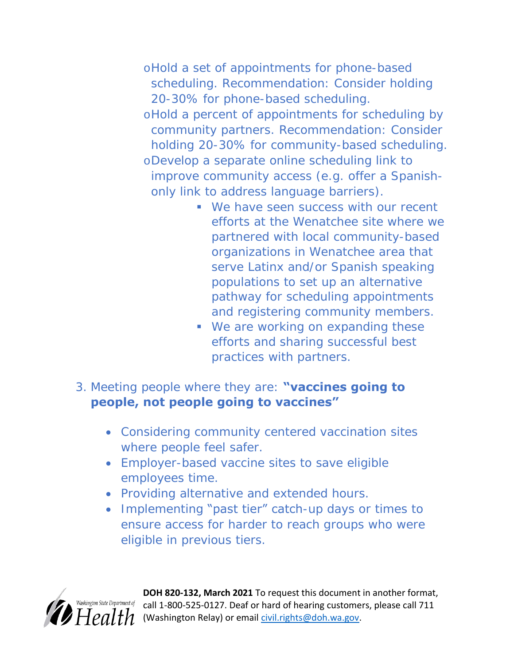oHold a set of appointments for phone-based scheduling. Recommendation: Consider holding 20-30% for phone-based scheduling. oHold a percent of appointments for scheduling by community partners. Recommendation: Consider holding 20-30% for community-based scheduling. oDevelop a separate online scheduling link to improve community access (e.g. offer a Spanishonly link to address language barriers).

- We have seen success with our recent efforts at the Wenatchee site where we partnered with local community-based organizations in Wenatchee area that serve Latinx and/or Spanish speaking populations to set up an alternative pathway for scheduling appointments and registering community members.
- We are working on expanding these efforts and sharing successful best practices with partners.
- 3. Meeting people where they are: **"vaccines going to people, not people going to vaccines"**
	- Considering community centered vaccination sites where people feel safer.
	- Employer-based vaccine sites to save eligible employees time.
	- Providing alternative and extended hours.
	- Implementing "past tier" catch-up days or times to ensure access for harder to reach groups who were eligible in previous tiers.



**DOH 820-132, March 2021** To request this document in another format, call 1-800-525-0127. Deaf or hard of hearing customers, please call 711 (Washington Relay) or email [civil.rights@doh.wa.gov.](mailto:civil.rights@doh.wa.gov)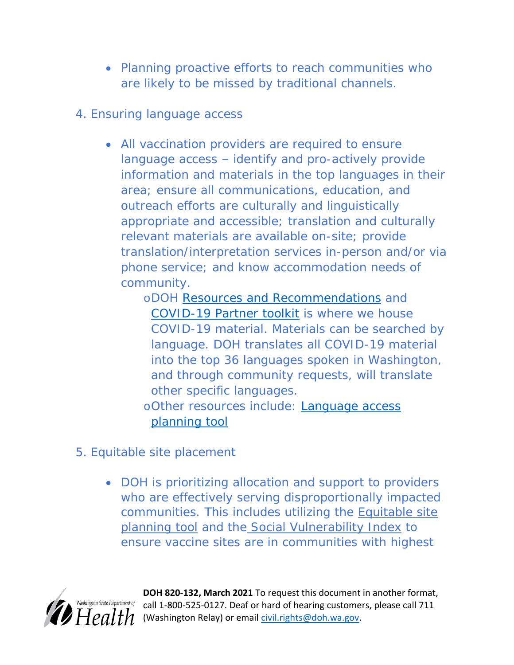- Planning proactive efforts to reach communities who are likely to be missed by traditional channels.
- 4. Ensuring language access
	- All vaccination providers are required to ensure language access – identify and pro-actively provide information and materials in the top languages in their area; ensure all communications, education, and outreach efforts are culturally and linguistically appropriate and accessible; translation and culturally relevant materials are available on-site; provide translation/interpretation services in-person and/or via phone service; and know accommodation needs of community.
		- oDOH [Resources and Recommendations](https://www.doh.wa.gov/Emergencies/COVID19/ResourcesandRecommendations) and [COVID-19 Partner toolkit](https://coronavirus.wa.gov/partner-toolkit/covid-19-vaccine-phase-finder) is where we house COVID-19 material. Materials can be searched by language. DOH translates all COVID-19 material into the top 36 languages spoken in Washington, and through community requests, will translate other specific languages.
		- oOther resources include: [Language access](https://www.doh.wa.gov/Portals/1/Documents/1600/coronavirus/LanguageAccessPlanningTool.pdf)  [planning tool](https://www.doh.wa.gov/Portals/1/Documents/1600/coronavirus/LanguageAccessPlanningTool.pdf)
- 5. Equitable site placement
	- DOH is prioritizing allocation and support to providers who are effectively serving disproportionally impacted communities. This includes utilizing the [Equitable site](https://gcc02.safelinks.protection.outlook.com/?url=https%3A%2F%2Fwww.doh.wa.gov%2FPortals%2F1%2FDocuments%2F1600%2Fcoronavirus%2FEquitableVaccinationSitePlanningTool.pdf&data=04%7C01%7Cfathiya.abdi%40doh.wa.gov%7Cf06a7a3dab9d4ed2cba208d8e8b82747%7C11d0e217264e400a8ba057dcc127d72d%7C0%7C0%7C637515225727670402%7CUnknown%7CTWFpbGZsb3d8eyJWIjoiMC4wLjAwMDAiLCJQIjoiV2luMzIiLCJBTiI6Ik1haWwiLCJXVCI6Mn0%3D%7C1000&sdata=%2BZaB5wp135wC6%2B7A6Es4Et3Xd1pAoDH8Zlyj0oXpanI%3D&reserved=0)  [planning tool](https://gcc02.safelinks.protection.outlook.com/?url=https%3A%2F%2Fwww.doh.wa.gov%2FPortals%2F1%2FDocuments%2F1600%2Fcoronavirus%2FEquitableVaccinationSitePlanningTool.pdf&data=04%7C01%7Cfathiya.abdi%40doh.wa.gov%7Cf06a7a3dab9d4ed2cba208d8e8b82747%7C11d0e217264e400a8ba057dcc127d72d%7C0%7C0%7C637515225727670402%7CUnknown%7CTWFpbGZsb3d8eyJWIjoiMC4wLjAwMDAiLCJQIjoiV2luMzIiLCJBTiI6Ik1haWwiLCJXVCI6Mn0%3D%7C1000&sdata=%2BZaB5wp135wC6%2B7A6Es4Et3Xd1pAoDH8Zlyj0oXpanI%3D&reserved=0) and the [Social Vulnerability Index](https://gcc02.safelinks.protection.outlook.com/?url=https%3A%2F%2Ffortress.wa.gov%2Fdoh%2Fwtn%2FWTNIBL%2F&data=04%7C01%7Cfathiya.abdi%40doh.wa.gov%7Cf06a7a3dab9d4ed2cba208d8e8b82747%7C11d0e217264e400a8ba057dcc127d72d%7C0%7C0%7C637515225727680357%7CUnknown%7CTWFpbGZsb3d8eyJWIjoiMC4wLjAwMDAiLCJQIjoiV2luMzIiLCJBTiI6Ik1haWwiLCJXVCI6Mn0%3D%7C1000&sdata=cnAtHmRQ3zdyWZNZXjuo7KWuVy2JSOG1OAk7dJrt6WE%3D&reserved=0) to ensure vaccine sites are in communities with highest



**DOH 820-132, March 2021** To request this document in another format,  $\frac{logton\ State\ Department\ of}{=}$  call 1-800-525-0127. Deaf or hard of hearing customers, please call 711 (Washington Relay) or email [civil.rights@doh.wa.gov.](mailto:civil.rights@doh.wa.gov)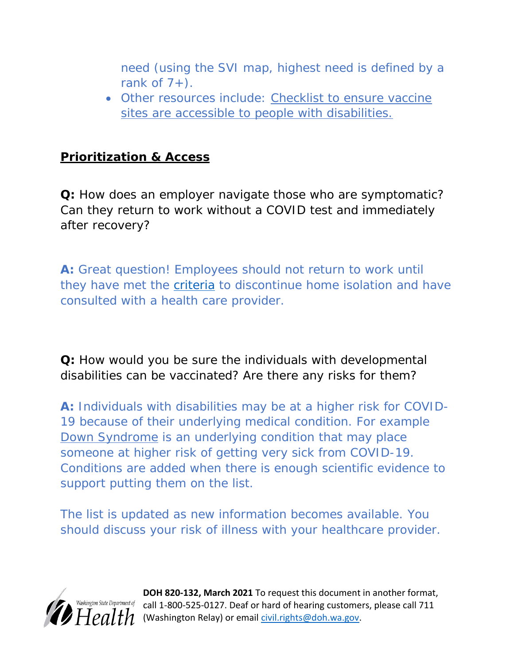need (using the SVI map, highest need is defined by a rank of  $7+$ ).

 Other resources include: [Checklist to ensure vaccine](https://gcc02.safelinks.protection.outlook.com/?url=https%3A%2F%2Fdisasterstrategies.org%2Fwp-content%2Fuploads%2F2021%2F03%2FWA-DOH-Access-Checklist-for-Vaccination-Sites.pdf&data=04%7C01%7Cfathiya.abdi%40doh.wa.gov%7Cf06a7a3dab9d4ed2cba208d8e8b82747%7C11d0e217264e400a8ba057dcc127d72d%7C0%7C0%7C637515225727680357%7CUnknown%7CTWFpbGZsb3d8eyJWIjoiMC4wLjAwMDAiLCJQIjoiV2luMzIiLCJBTiI6Ik1haWwiLCJXVCI6Mn0%3D%7C1000&sdata=gVddzGLyted4Ne9BZp1njS9VrKuZwBUmXXoAzIDs6TQ%3D&reserved=0)  [sites are accessible to people with disabilities.](https://gcc02.safelinks.protection.outlook.com/?url=https%3A%2F%2Fdisasterstrategies.org%2Fwp-content%2Fuploads%2F2021%2F03%2FWA-DOH-Access-Checklist-for-Vaccination-Sites.pdf&data=04%7C01%7Cfathiya.abdi%40doh.wa.gov%7Cf06a7a3dab9d4ed2cba208d8e8b82747%7C11d0e217264e400a8ba057dcc127d72d%7C0%7C0%7C637515225727680357%7CUnknown%7CTWFpbGZsb3d8eyJWIjoiMC4wLjAwMDAiLCJQIjoiV2luMzIiLCJBTiI6Ik1haWwiLCJXVCI6Mn0%3D%7C1000&sdata=gVddzGLyted4Ne9BZp1njS9VrKuZwBUmXXoAzIDs6TQ%3D&reserved=0)

#### **Prioritization & Access**

**Q:** How does an employer navigate those who are symptomatic? Can they return to work without a COVID test and immediately after recovery?

**A:** Great question! Employees should not return to work until they have met the **criteria** to discontinue home isolation and have consulted with a health care provider.

**Q:** How would you be sure the individuals with developmental disabilities can be vaccinated? Are there any risks for them?

**A:** Individuals with disabilities may be at a higher risk for COVID-19 because of their underlying medical condition. For example [Down Syndrome](https://www.cdc.gov/ncbddd/birthdefects/downsyndrome.html) is an underlying condition that may place someone at higher risk of getting very sick from COVID-19. Conditions are added when there is enough scientific evidence to support putting them on the list.

The list is updated as new information becomes available. You should discuss your risk of illness with your healthcare provider.



**DOH 820-132, March 2021** To request this document in another format, call 1-800-525-0127. Deaf or hard of hearing customers, please call 711 (Washington Relay) or email [civil.rights@doh.wa.gov.](mailto:civil.rights@doh.wa.gov)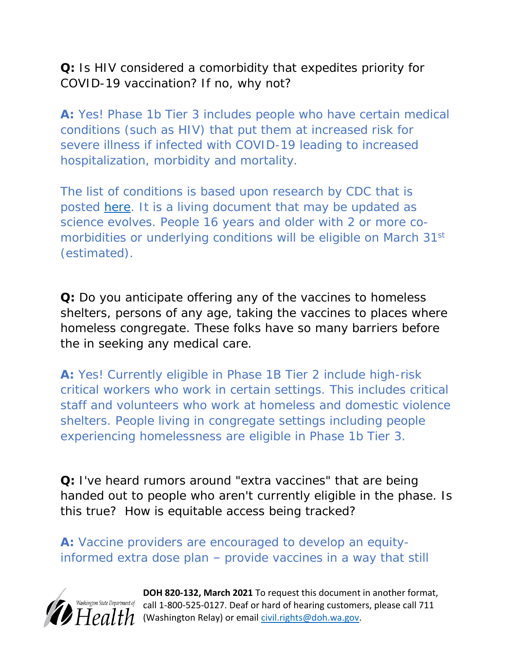**Q:** Is HIV considered a comorbidity that expedites priority for COVID-19 vaccination? If no, why not?

**A:** Yes! Phase 1b Tier 3 includes people who have certain medical conditions (such as HIV) that put them at increased risk for severe illness if infected with COVID-19 leading to increased hospitalization, morbidity and mortality.

The list of conditions is based upon research by CDC that is posted [here.](https://www.cdc.gov/coronavirus/2019-%20ncov/need-extra-precautions/people-with-medical-conditions.htm) It is a living document that may be updated as science evolves. People 16 years and older with 2 or more comorbidities or underlying conditions will be eligible on March 31<sup>st</sup> (*estimated*).

**Q:** Do you anticipate offering any of the vaccines to homeless shelters, persons of any age, taking the vaccines to places where homeless congregate. These folks have so many barriers before the in seeking any medical care.

**A:** Yes! Currently eligible in Phase 1B Tier 2 include high-risk critical workers who work in certain settings. This includes critical staff and volunteers who work at homeless and domestic violence shelters. People living in congregate settings including people experiencing homelessness are eligible in Phase 1b Tier 3.

**Q:** I've heard rumors around "extra vaccines" that are being handed out to people who aren't currently eligible in the phase. Is this true? How is equitable access being tracked?

**A:** Vaccine providers are encouraged to develop an equityinformed extra dose plan – provide vaccines in a way that still



**DOH 820-132, March 2021** To request this document in another format, Nashington State Department of call 1-800-525-0127. Deaf or hard of hearing customers, please call 711  $H$  $\rho$  $1$   $H$  (Washington Relay) or email *civil.rights@doh.wa.gov.*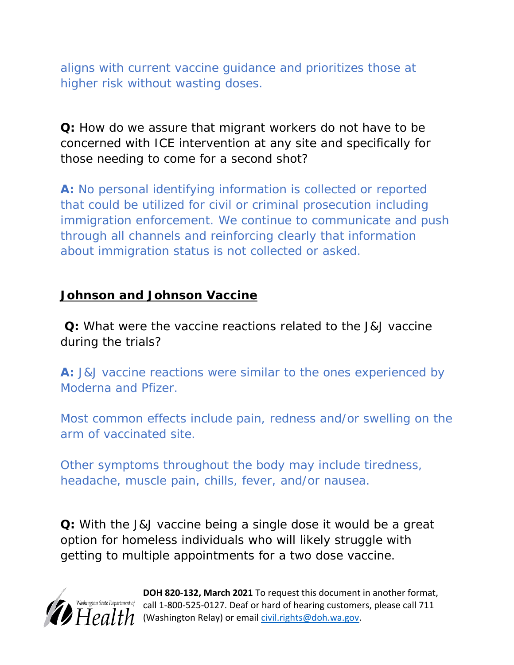aligns with current vaccine guidance and prioritizes those at higher risk without wasting doses.

**Q:** How do we assure that migrant workers do not have to be concerned with ICE intervention at any site and specifically for those needing to come for a second shot?

**A:** No personal identifying information is collected or reported that could be utilized for civil or criminal prosecution including immigration enforcement. We continue to communicate and push through all channels and reinforcing clearly that information about immigration status is not collected or asked.

#### **Johnson and Johnson Vaccine**

**Q:** What were the vaccine reactions related to the J&J vaccine during the trials?

**A:** J&J vaccine reactions were similar to the ones experienced by Moderna and Pfizer.

Most common effects include pain, redness and/or swelling on the arm of vaccinated site.

Other symptoms throughout the body may include tiredness, headache, muscle pain, chills, fever, and/or nausea.

**Q:** With the J&J vaccine being a single dose it would be a great option for homeless individuals who will likely struggle with getting to multiple appointments for a two dose vaccine.



**DOH 820-132, March 2021** To request this document in another format, ashington State Department of call 1-800-525-0127. Deaf or hard of hearing customers, please call 711  $H$  $\rho$  $d$   $th$  (Washington Relay) or email [civil.rights@doh.wa.gov.](mailto:civil.rights@doh.wa.gov)